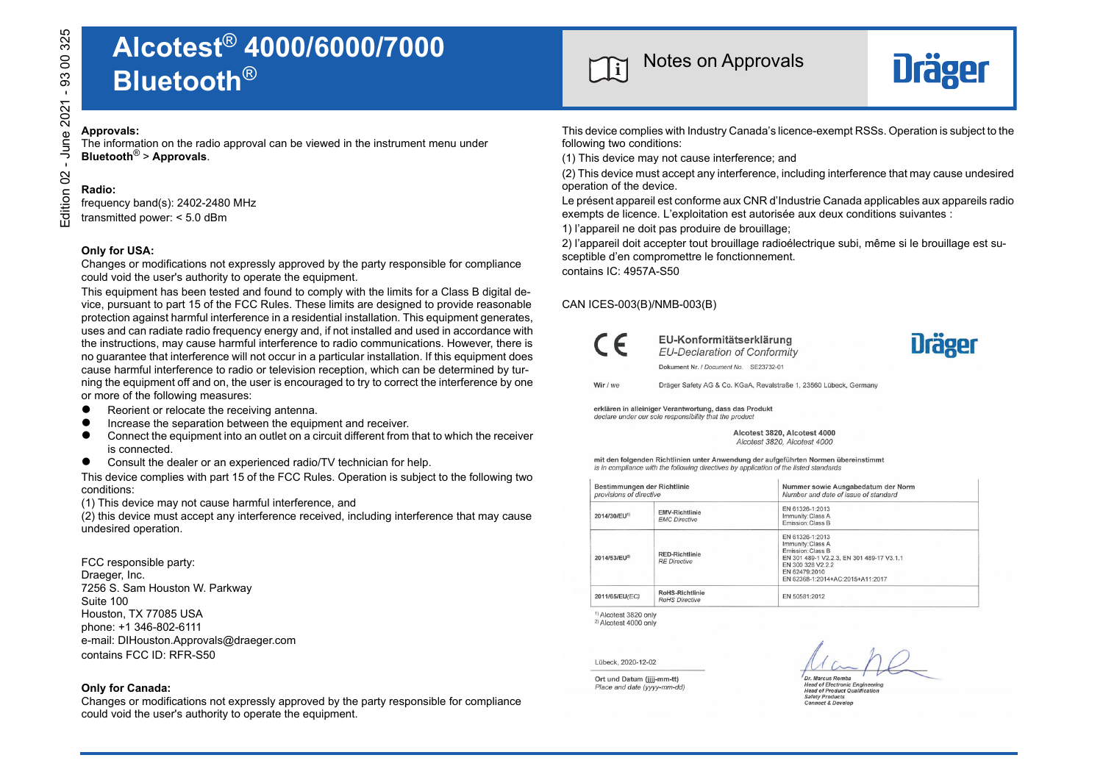# **<sup>i</sup>** Notes on Approvals **Alcotest**® **4000/6000/7000 Bluetooth**® **Example 2021 - 93 00 325 00 325 00 40 40 325 00 325 00 325 00 325 00 325 00 325 00 325 00 325 00 325 00 325 00 325 00 325 00 325 00 325 00 325 00 325 00 325 00 325 00 325 00 325 00 325 00 325 00 325 00 325 00 325 00 325 0**

The information on the radio approval can be viewed in the instrument menu under **Bluetooth**® > **Approvals**.

# **Radio:**

frequency band(s): 2402-2480 MHz

transmitted power: < 5.0 dBm

#### **Only for USA:**

Changes or modifications not expressly approved by the party responsible for compliance could void the user's authority to operate the equipment.

This equipment has been tested and found to comply with the limits for a Class B digital device, pursuant to part 15 of the FCC Rules. These limits are designed to provide reasonable protection against harmful interference in a residential installation. This equipment generates, uses and can radiate radio frequency energy and, if not installed and used in accordance with the instructions, may cause harmful interference to radio communications. However, there is no guarantee that interference will not occur in a particular installation. If this equipment does cause harmful interference to radio or television reception, which can be determined by turning the equipment off and on, the user is encouraged to try to correct the interference by one or more of the following measures:

- Reorient or relocate the receiving antenna.
- Increase the separation between the equipment and receiver. <math display="inline">\bullet</math> Connect the equipment into an outlet on a circuit different from
- Connect the equipment into an outlet on a circuit different from that to which the receiver is connected.
- Consult the dealer or an experienced radio/TV technician for help.

This device complies with part 15 of the FCC Rules. Operation is subject to the following two conditions:

(1) This device may not cause harmful interference, and

(2) this device must accept any interference received, including interference that may cause undesired operation.

FCC responsible party: Draeger, Inc. 7256 S. Sam Houston W. Parkway Suite 100 Houston, TX 77085 USA phone: +1 346-802-6111 e-mail: DIHouston.Approvals@draeger.com contains FCC ID: RFR-S50

### **Only for Canada:**

Changes or modifications not expressly approved by the party responsible for compliance could void the user's authority to operate the equipment.



This device complies with Industry Canada's licence-exempt RSSs. Operation is subject to the following two conditions:

(1) This device may not cause interference; and

(2) This device must accept any interference, including interference that may cause undesired operation of the device.

Le présent appareil est conforme aux CNR d'Industrie Canada applicables aux appareils radio exempts de licence. L'exploitation est autorisée aux deux conditions suivantes :

1) l'appareil ne doit pas produire de brouillage;

2) l'appareil doit accepter tout brouillage radioélectrique subi, même si le brouillage est susceptible d'en compromettre le fonctionnement.

contains IC: 4957A-S50

## CAN ICES-003(B)/NMB-003(B)



EU-Konformitätserklärung EU-Declaration of Conformity Dokument Nr. / Document No. SE23732-01



Wir / ww Dräger Safety AG & Co. KGaA, Revalstraße 1, 23560 Lübeck, Germany

erklären in alleiniger Verantwortung, dass das Produkt declare under our sole responsibility that the product

> Alcotest 3820, Alcotest 4000 Alcotest 3820 Alcotest 4000

mit den folgenden Richtlinien unter Anwendung der aufgeführten Normen übereinstimmt is in compliance with the following directives by application of the listed standards

| Bestimmungen der Richtlinie<br>provisions of directive |                                               | Nummer sowie Ausgabedatum der Norm<br>Number and date of issue of standard                                                                                                       |
|--------------------------------------------------------|-----------------------------------------------|----------------------------------------------------------------------------------------------------------------------------------------------------------------------------------|
| 2014/30/EU <sup>11</sup>                               | <b>EMV-Richtlinie</b><br><b>EMC Directive</b> | EN 61326-1:2013<br>Immunity: Class A<br>Emission: Class B                                                                                                                        |
| 2014/53/EU <sup>2)</sup>                               | <b>RED-Richtlinie</b><br><b>RF Directive</b>  | EN 61326-1:2013<br>Immunity: Class A<br>Emission: Class B<br>EN 301 489-1 V2.2.3. EN 301 489-17 V3.1.1<br>FN 300 328 V2 2 2<br>EN 62479:2010<br>EN 62368-1:2014+AC:2015+A11:2017 |
| 2011/65/EU(EC)                                         | RoHS-Richtlinie<br>RoHS Directive             | EN 50581:2012                                                                                                                                                                    |

<sup>1)</sup> Alcotest 3820 only

<sup>2)</sup> Alcotest 4000 onl

Lübeck. 2020-12-02

Ort und Datum (jjjj-mm-tt) Place and date (yyyy-mm-dd)

Dr. Marcus Romba

**Head of Electronic Engineering**<br>**Head of Product Qualification Safety Products** Connect & Develop